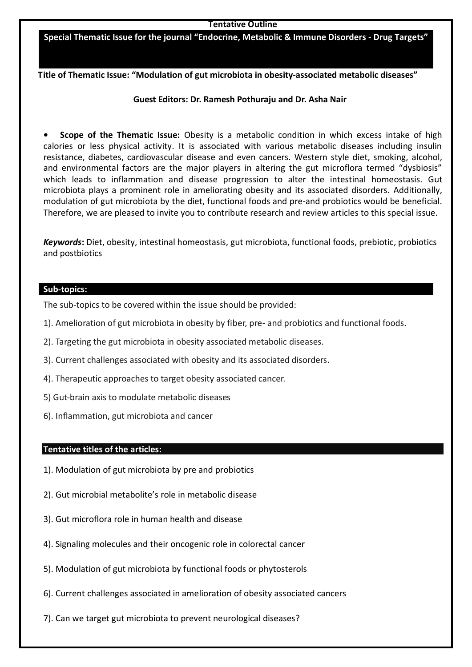#### **Tentative Outline**

**Special Thematic Issue for the journal "Endocrine, Metabolic & Immune Disorders - Drug Targets"**

**Title of Thematic Issue: "Modulation of gut microbiota in obesity-associated metabolic diseases"**

# **Guest Editors: Dr. Ramesh Pothuraju and Dr. Asha Nair**

**• Scope of the Thematic Issue:** Obesity is a metabolic condition in which excess intake of high calories or less physical activity. It is associated with various metabolic diseases including insulin resistance, diabetes, cardiovascular disease and even cancers. Western style diet, smoking, alcohol, and environmental factors are the major players in altering the gut microflora termed "dysbiosis" which leads to inflammation and disease progression to alter the intestinal homeostasis. Gut microbiota plays a prominent role in ameliorating obesity and its associated disorders. Additionally, modulation of gut microbiota by the diet, functional foods and pre-and probiotics would be beneficial. Therefore, we are pleased to invite you to contribute research and review articles to this special issue.

*Keywords***:** Diet, obesity, intestinal homeostasis, gut microbiota, functional foods, prebiotic, probiotics and postbiotics

#### **Sub-topics:**

The sub-topics to be covered within the issue should be provided:

- 1). Amelioration of gut microbiota in obesity by fiber, pre- and probiotics and functional foods.
- 2). Targeting the gut microbiota in obesity associated metabolic diseases.
- 3). Current challenges associated with obesity and its associated disorders.
- 4). Therapeutic approaches to target obesity associated cancer.
- 5) Gut-brain axis to modulate metabolic diseases
- 6). Inflammation, gut microbiota and cancer

### **Tentative titles of the articles:**

- 1). Modulation of gut microbiota by pre and probiotics
- 2). Gut microbial metabolite's role in metabolic disease
- 3). Gut microflora role in human health and disease
- 4). Signaling molecules and their oncogenic role in colorectal cancer
- 5). Modulation of gut microbiota by functional foods or phytosterols
- 6). Current challenges associated in amelioration of obesity associated cancers
- 7). Can we target gut microbiota to prevent neurological diseases?